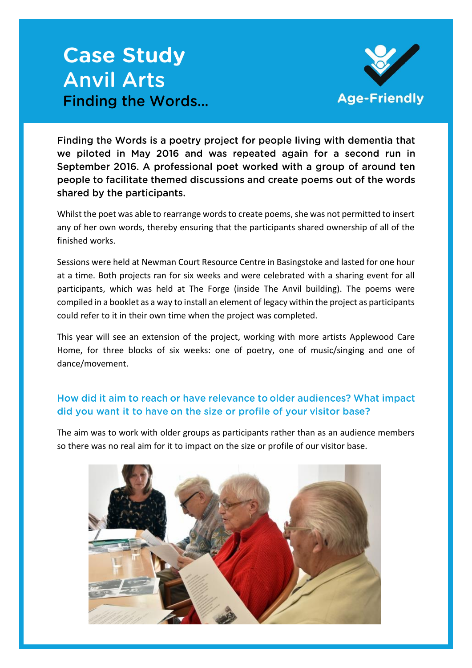# **Case Study Anvil Arts Finding the Words...**



Finding the Words is a poetry project for people living with dementia that we piloted in May 2016 and was repeated again for a second run in September 2016. A professional poet worked with a group of around ten people to facilitate themed discussions and create poems out of the words shared by the participants.

Whilst the poet was able to rearrange words to create poems, she was not permitted to insert any of her own words, thereby ensuring that the participants shared ownership of all of the finished works.

Sessions were held at Newman Court Resource Centre in Basingstoke and lasted for one hour at a time. Both projects ran for six weeks and were celebrated with a sharing event for all participants, which was held at The Forge (inside The Anvil building). The poems were compiled in a booklet as a way to install an element of legacy within the project as participants could refer to it in their own time when the project was completed.

This year will see an extension of the project, working with more artists Applewood Care Home, for three blocks of six weeks: one of poetry, one of music/singing and one of dance/movement.

# How did it aim to reach or have relevance to older audiences? What impact did you want it to have on the size or profile of your visitor base?

The aim was to work with older groups as participants rather than as an audience members so there was no real aim for it to impact on the size or profile of our visitor base.

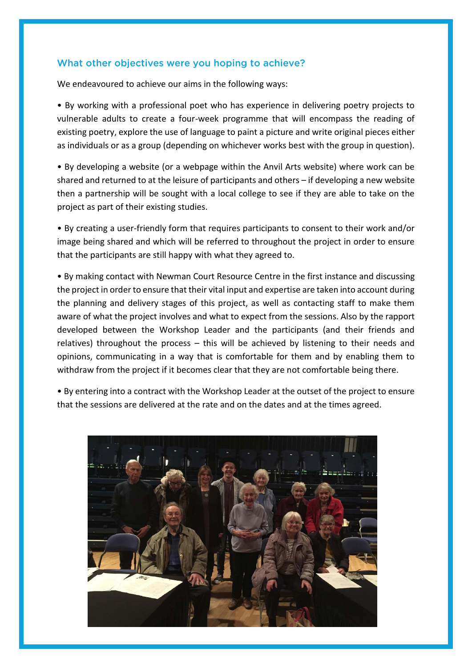### What other objectives were you hoping to achieve?

We endeavoured to achieve our aims in the following ways:

• By working with a professional poet who has experience in delivering poetry projects to vulnerable adults to create a four-week programme that will encompass the reading of existing poetry, explore the use of language to paint a picture and write original pieces either as individuals or as a group (depending on whichever works best with the group in question).

• By developing a website (or a webpage within the Anvil Arts website) where work can be shared and returned to at the leisure of participants and others – if developing a new website then a partnership will be sought with a local college to see if they are able to take on the project as part of their existing studies.

• By creating a user-friendly form that requires participants to consent to their work and/or image being shared and which will be referred to throughout the project in order to ensure that the participants are still happy with what they agreed to.

• By making contact with Newman Court Resource Centre in the first instance and discussing the project in order to ensure that their vital input and expertise are taken into account during the planning and delivery stages of this project, as well as contacting staff to make them aware of what the project involves and what to expect from the sessions. Also by the rapport developed between the Workshop Leader and the participants (and their friends and relatives) throughout the process – this will be achieved by listening to their needs and opinions, communicating in a way that is comfortable for them and by enabling them to withdraw from the project if it becomes clear that they are not comfortable being there.

• By entering into a contract with the Workshop Leader at the outset of the project to ensure that the sessions are delivered at the rate and on the dates and at the times agreed.

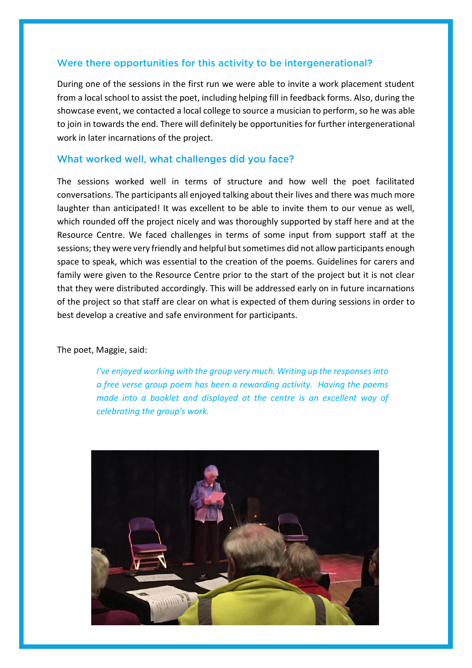### Were there opportunities for this activity to be intergenerational?

During one of the sessions in the first run we were able to invite a work placement student from a local school to assist the poet, including helping fill in feedback forms. Also, during the showcase event, we contacted a local college to source a musician to perform, so he was able to join in towards the end. There will definitely be opportunities for further intergenerational work in later incarnations of the project.

#### What worked well, what challenges did you face?

The sessions worked well in terms of structure and how well the poet facilitated conversations. The participants all enjoyed talking about their lives and there was much more laughter than anticipated! It was excellent to be able to invite them to our venue as well, which rounded off the project nicely and was thoroughly supported by staff here and at the Resource Centre. We faced challenges in terms of some input from support staff at the sessions; they were very friendly and helpful but sometimes did not allow participants enough space to speak, which was essential to the creation of the poems. Guidelines for carers and family were given to the Resource Centre prior to the start of the project but it is not clear that they were distributed accordingly. This will be addressed early on in future incarnations of the project so that staff are clear on what is expected of them during sessions in order to best develop a creative and safe environment for participants.

The poet, Maggie, said:

*I've enjoyed working with the group very much. Writing up the responses into a free verse group poem has been a rewarding activity. Having the poems made into a booklet and displayed at the centre is an excellent way of celebrating the group's work.*

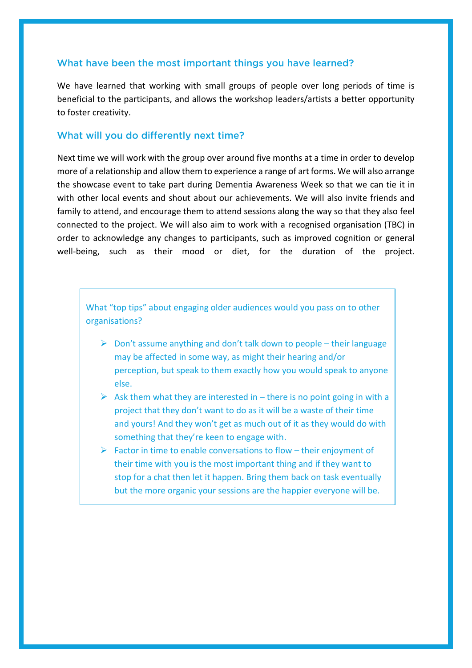## What have been the most important things you have learned?

We have learned that working with small groups of people over long periods of time is beneficial to the participants, and allows the workshop leaders/artists a better opportunity to foster creativity.

#### What will you do differently next time?

Next time we will work with the group over around five months at a time in order to develop more of a relationship and allow them to experience a range of art forms. We will also arrange the showcase event to take part during Dementia Awareness Week so that we can tie it in with other local events and shout about our achievements. We will also invite friends and family to attend, and encourage them to attend sessions along the way so that they also feel connected to the project. We will also aim to work with a recognised organisation (TBC) in order to acknowledge any changes to participants, such as improved cognition or general well-being, such as their mood or diet, for the duration of the project.

What "top tips" about engaging older audiences would you pass on to other organisations?

- $\triangleright$  Don't assume anything and don't talk down to people their language may be affected in some way, as might their hearing and/or perception, but speak to them exactly how you would speak to anyone else.
- $\triangleright$  Ask them what they are interested in there is no point going in with a project that they don't want to do as it will be a waste of their time and yours! And they won't get as much out of it as they would do with something that they're keen to engage with.
- $\triangleright$  Factor in time to enable conversations to flow their enjoyment of their time with you is the most important thing and if they want to stop for a chat then let it happen. Bring them back on task eventually but the more organic your sessions are the happier everyone will be.